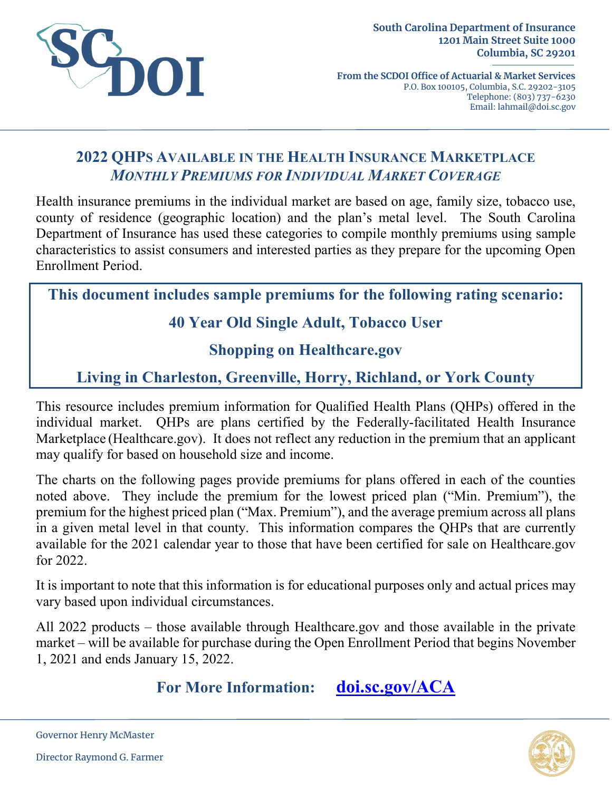

**From the SCDOI Office of Actuarial & Market Services** P.O. Box 100105, Columbia, S.C. 29202-3105 Telephone: (803) 737-6230 Email: lahmail@doi.sc.gov

# **2022 QHPS AVAILABLE IN THE HEALTH INSURANCE MARKETPLACE** *MONTHLY PREMIUMS FOR INDIVIDUAL MARKET COVERAGE*

Health insurance premiums in the individual market are based on age, family size, tobacco use, county of residence (geographic location) and the plan's metal level. The South Carolina Department of Insurance has used these categories to compile monthly premiums using sample characteristics to assist consumers and interested parties as they prepare for the upcoming Open Enrollment Period.

**This document includes sample premiums for the following rating scenario:**

# **40 Year Old Single Adult, Tobacco User**

### **Shopping on Healthcare.gov**

# **Living in Charleston, Greenville, Horry, Richland, or York County**

This resource includes premium information for Qualified Health Plans (QHPs) offered in the individual market. QHPs are plans certified by the Federally-facilitated Health Insurance Marketplace (Healthcare.gov). It does not reflect any reduction in the premium that an applicant may qualify for based on household size and income.

The charts on the following pages provide premiums for plans offered in each of the counties noted above. They include the premium for the lowest priced plan ("Min. Premium"), the premium for the highest priced plan ("Max. Premium"), and the average premium across all plans in a given metal level in that county. This information compares the QHPs that are currently available for the 2021 calendar year to those that have been certified for sale on Healthcare.gov for 2022.

It is important to note that this information is for educational purposes only and actual prices may vary based upon individual circumstances.

All 2022 products – those available through Healthcare.gov and those available in the private market – will be available for purchase during the Open Enrollment Period that begins November 1, 2021 and ends January 15, 2022.

**For More Information: [doi.sc.gov/ACA](http://doi.sc.gov/aca)**



Governor Henry McMaster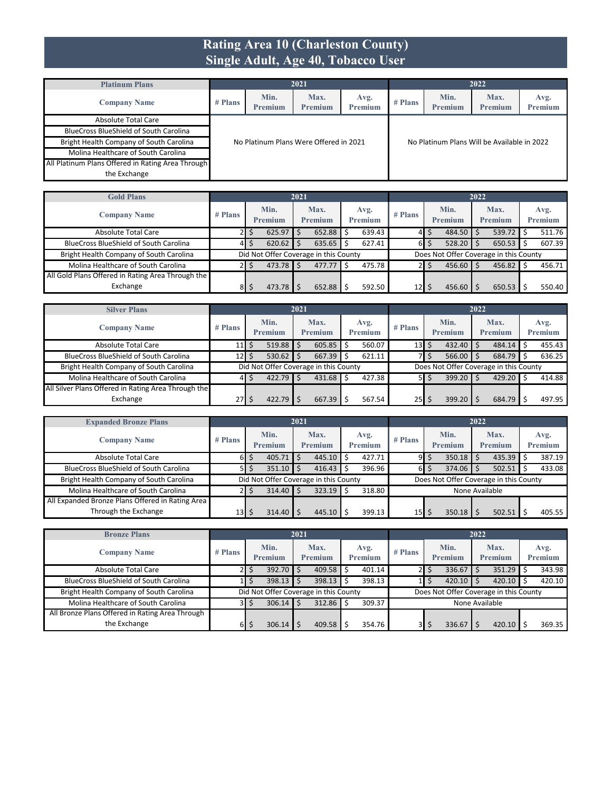#### **Rating Area 10 (Charleston County) Single Adult, Age 40, Tobacco User**

| <b>Platinum Plans</b>                             |         |                 | 2021                                   |                        |           |                                             | 2022            |                 |
|---------------------------------------------------|---------|-----------------|----------------------------------------|------------------------|-----------|---------------------------------------------|-----------------|-----------------|
| <b>Company Name</b>                               | # Plans | Min.<br>Premium | Max.<br>Premium                        | Avg.<br><b>Premium</b> | $#$ Plans | Min.<br><b>Premium</b>                      | Max.<br>Premium | Avg.<br>Premium |
| Absolute Total Care                               |         |                 |                                        |                        |           |                                             |                 |                 |
| <b>BlueCross BlueShield of South Carolina</b>     |         |                 |                                        |                        |           |                                             |                 |                 |
| Bright Health Company of South Carolina           |         |                 | No Platinum Plans Were Offered in 2021 |                        |           | No Platinum Plans Will be Available in 2022 |                 |                 |
| Molina Healthcare of South Carolina               |         |                 |                                        |                        |           |                                             |                 |                 |
| All Platinum Plans Offered in Rating Area Through |         |                 |                                        |                        |           |                                             |                 |                 |
| the Exchange                                      |         |                 |                                        |                        |           |                                             |                 |                 |

| <b>Gold Plans</b>                                 |           |                 | 2021 |                                       |   |                 |                 |   |                                        | 2022 |                 |                 |
|---------------------------------------------------|-----------|-----------------|------|---------------------------------------|---|-----------------|-----------------|---|----------------------------------------|------|-----------------|-----------------|
| <b>Company Name</b>                               | $#$ Plans | Min.<br>Premium |      | Max.<br><b>Premium</b>                |   | Avg.<br>Premium | $#$ Plans       |   | Min.<br>Premium                        |      | Max.<br>Premium | Avg.<br>Premium |
| Absolute Total Care                               |           | $625.97$ \$     |      | 652.88                                | Ŝ | 639.43          | 41              |   | $484.50$ \$                            |      | 539.72          | 511.76          |
| <b>BlueCross BlueShield of South Carolina</b>     | 41        | $620.62$ \$     |      | 635.65                                |   | 627.41          | 6I              | Ś | $528.20$ \$                            |      | $650.53$ \$     | 607.39          |
| Bright Health Company of South Carolina           |           |                 |      | Did Not Offer Coverage in this County |   |                 |                 |   | Does Not Offer Coverage in this County |      |                 |                 |
| Molina Healthcare of South Carolina               |           | $473.78$ \$     |      | 477.77                                |   | 475.78          |                 | S | $456.60$ \$                            |      | $456.82$ \$     | 456.71          |
| All Gold Plans Offered in Rating Area Through the |           |                 |      |                                       |   |                 |                 |   |                                        |      |                 |                 |
| Exchange                                          | 8         | $473.78$ S      |      | 652.88                                |   | 592.50          | 12 <sup>1</sup> |   | $456.60$ $\frac{1}{5}$                 |      | 650.53          | 550.40          |

| <b>Silver Plans</b>                                 |             |                 | 2021 |                                       |                 |                                  |                |                                        | 2022 |                 |                        |
|-----------------------------------------------------|-------------|-----------------|------|---------------------------------------|-----------------|----------------------------------|----------------|----------------------------------------|------|-----------------|------------------------|
| <b>Company Name</b>                                 | $#$ Plans   | Min.<br>Premium |      | Max.<br><b>Premium</b>                | Avg.<br>Premium | $#$ Plans                        |                | Min.<br>Premium                        |      | Max.<br>Premium | Avg.<br><b>Premium</b> |
| <b>Absolute Total Care</b>                          | $11$ $\sim$ | $519.88$ \$     |      | 605.85                                | 560.07          | $13$ $\overline{\phantom{1}}$ \$ |                | 432.40                                 |      | $484.14$ \$     | 455.43                 |
| <b>BlueCross BlueShield of South Carolina</b>       | $12$   \$   | 530.62          |      | 667.39                                | 621.11          |                                  | 7   \$         | 566.00                                 |      | $684.79$ \$     | 636.25                 |
| Bright Health Company of South Carolina             |             |                 |      | Did Not Offer Coverage in this County |                 |                                  |                | Does Not Offer Coverage in this County |      |                 |                        |
| Molina Healthcare of South Carolina                 | 41          | $422.79$ \$     |      | 431.68                                | 427.38          |                                  | $5 \mid \zeta$ | 399.20                                 |      | $429.20$ \$     | 414.88                 |
| All Silver Plans Offered in Rating Area Through the |             |                 |      |                                       |                 |                                  |                |                                        |      |                 |                        |
| Exchange                                            | $27$ S      | 422.79          |      | 667.39                                | 567.54          | $25$   \$                        |                | 399.20                                 |      | $684.79$ \$     | 497.95                 |

| <b>Expanded Bronze Plans</b>                     |                 |                                       | 2021 |                 |                 |                 |                                        | 2022 |                 |                 |
|--------------------------------------------------|-----------------|---------------------------------------|------|-----------------|-----------------|-----------------|----------------------------------------|------|-----------------|-----------------|
| <b>Company Name</b>                              | $#$ Plans       | Min.<br>Premium                       |      | Max.<br>Premium | Avg.<br>Premium | $#$ Plans       | Min.<br>Premium                        |      | Max.<br>Premium | Avg.<br>Premium |
| Absolute Total Care                              | 61              | $405.71$ S<br>Ś                       |      | 445.10          | 427.71          | 9               | \$<br>350.18                           |      | $435.39$ \$     | 387.19          |
| <b>BlueCross BlueShield of South Carolina</b>    | 51              | $351.10$ \$                           |      | 416.43          | 396.96          | 61              | \$<br>374.06                           |      | $502.51$ \$     | 433.08          |
| Bright Health Company of South Carolina          |                 | Did Not Offer Coverage in this County |      |                 |                 |                 | Does Not Offer Coverage in this County |      |                 |                 |
| Molina Healthcare of South Carolina              |                 | $314.40$ S                            |      | 323.19          | 318.80          |                 | None Available                         |      |                 |                 |
| All Expanded Bronze Plans Offered in Rating Area |                 |                                       |      |                 |                 |                 |                                        |      |                 |                 |
| Through the Exchange                             | 13 <sub>l</sub> | $314.40$ S                            |      | 445.10          | 399.13          | 15 <sub>1</sub> | 350.18                                 |      | 502.51          | 405.55          |

| <b>Bronze Plans</b>                             |           |       |                                       | 2021 |                        |    |                 |           |        |                 | 2022 |                                        |                 |
|-------------------------------------------------|-----------|-------|---------------------------------------|------|------------------------|----|-----------------|-----------|--------|-----------------|------|----------------------------------------|-----------------|
| <b>Company Name</b>                             | $#$ Plans |       | Min.<br>Premium                       |      | Max.<br><b>Premium</b> |    | Avg.<br>Premium | $#$ Plans |        | Min.<br>Premium |      | Max.<br>Premium                        | Avg.<br>Premium |
| <b>Absolute Total Care</b>                      | 21        | 5     | $392.70$ \$                           |      | 409.58                 | Ŝ. | 401.14          |           | 2   \$ | 336.67          |      | $351.29$ \$                            | 343.98          |
| <b>BlueCross BlueShield of South Carolina</b>   |           |       | 398.13                                |      | 398.13                 |    | 398.13          |           |        | 420.10          |      | $420.10$ \$                            | 420.10          |
| Bright Health Company of South Carolina         |           |       | Did Not Offer Coverage in this County |      |                        |    |                 |           |        |                 |      | Does Not Offer Coverage in this County |                 |
| Molina Healthcare of South Carolina             |           | 3 I S | 306.14                                |      | 312.86                 |    | 309.37          |           |        |                 |      | None Available                         |                 |
| All Bronze Plans Offered in Rating Area Through |           |       |                                       |      |                        |    |                 |           |        |                 |      |                                        |                 |
| the Exchange                                    | 61        |       | 306.14                                |      | 409.58                 |    | 354.76          | 3I        | S      | 336.67          |      | $420.10$ S                             | 369.35          |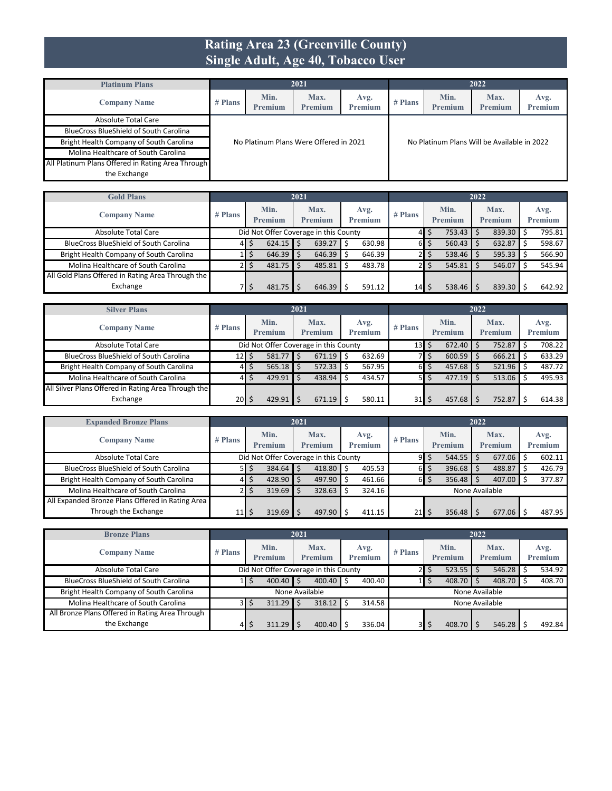#### **Rating Area 23 (Greenville County) Single Adult, Age 40, Tobacco User**

| <b>Platinum Plans</b>                             |         |                 | 2021                                   |                 |           |                                             | 2022            |                 |
|---------------------------------------------------|---------|-----------------|----------------------------------------|-----------------|-----------|---------------------------------------------|-----------------|-----------------|
| <b>Company Name</b>                               | # Plans | Min.<br>Premium | Max.<br>Premium                        | Avg.<br>Premium | $#$ Plans | Min.<br><b>Premium</b>                      | Max.<br>Premium | Avg.<br>Premium |
| Absolute Total Care                               |         |                 |                                        |                 |           |                                             |                 |                 |
| <b>BlueCross BlueShield of South Carolina</b>     |         |                 |                                        |                 |           |                                             |                 |                 |
| Bright Health Company of South Carolina           |         |                 | No Platinum Plans Were Offered in 2021 |                 |           | No Platinum Plans Will be Available in 2022 |                 |                 |
| Molina Healthcare of South Carolina               |         |                 |                                        |                 |           |                                             |                 |                 |
| All Platinum Plans Offered in Rating Area Through |         |                 |                                        |                 |           |                                             |                 |                 |
| the Exchange                                      |         |                 |                                        |                 |           |                                             |                 |                 |

| <b>Gold Plans</b>                                 |           |                 | 2021 |                                       |   |                        |           |   |                        | 2022 |                 |                 |
|---------------------------------------------------|-----------|-----------------|------|---------------------------------------|---|------------------------|-----------|---|------------------------|------|-----------------|-----------------|
| <b>Company Name</b>                               | $#$ Plans | Min.<br>Premium |      | Max.<br><b>Premium</b>                |   | Avg.<br><b>Premium</b> | $#$ Plans |   | Min.<br>Premium        |      | Max.<br>Premium | Avg.<br>Premium |
| Absolute Total Care                               |           |                 |      | Did Not Offer Coverage in this County |   |                        | 41        | S | $753.43$ $\frac{1}{5}$ |      | $839.30$ \$     | 795.81          |
| <b>BlueCross BlueShield of South Carolina</b>     | 41        | $624.15$ \$     |      | 639.27                                | S | 630.98                 | 61        | S | $560.43$ \$            |      | $632.87$ \$     | 598.67          |
| Bright Health Company of South Carolina           |           | $646.39$ \$     |      | 646.39                                |   | 646.39                 |           |   | $538.46$ \$            |      | $595.33$ \$     | 566.90          |
| Molina Healthcare of South Carolina               |           | $481.75$ \$     |      | 485.81                                |   | 483.78                 |           |   | $545.81$ $\sqrt{5}$    |      | $546.07$ \$     | 545.94          |
| All Gold Plans Offered in Rating Area Through the |           |                 |      |                                       |   |                        |           |   |                        |      |                 |                 |
| Exchange                                          |           | $481.75$ S      |      | 646.39                                |   | 591.12                 | 14        | Ś | $538.46$ \$            |      | $839.30$ \$     | 642.92          |

| <b>Silver Plans</b>                                 |         |                                       | 2021 |                 |    |                        |                 |                        | 2022 |                        |                        |
|-----------------------------------------------------|---------|---------------------------------------|------|-----------------|----|------------------------|-----------------|------------------------|------|------------------------|------------------------|
| <b>Company Name</b>                                 | # Plans | Min.<br><b>Premium</b>                |      | Max.<br>Premium |    | Avg.<br><b>Premium</b> | $#$ Plans       | Min.<br><b>Premium</b> |      | Max.<br><b>Premium</b> | Avg.<br><b>Premium</b> |
| Absolute Total Care                                 |         | Did Not Offer Coverage in this County |      |                 |    |                        | 13 <sup>l</sup> | \$<br>$672.40$ \$      |      | 752.87                 | 708.22                 |
| <b>BlueCross BlueShield of South Carolina</b>       | 12 I    | $581.77$ \$                           |      | 671.19          | Ŝ. | 632.69                 |                 | $600.59$ \$            |      | 666.21                 | 633.29                 |
| Bright Health Company of South Carolina             | 41      | $565.18$ \$                           |      | 572.33          |    | 567.95                 | 6 I             | \$<br>$457.68$ \$      |      | 521.96                 | 487.72                 |
| Molina Healthcare of South Carolina                 | 4       | $429.91$ \$                           |      | 438.94          |    | 434.57                 |                 | $477.19$ S             |      | $513.06$ \$            | 495.93                 |
| All Silver Plans Offered in Rating Area Through the |         |                                       |      |                 |    |                        |                 |                        |      |                        |                        |
| Exchange                                            | 20 S    | 429.91                                |      | 671.19          |    | 580.11                 | 31              | $457.68$   \$          |      | 752.87                 | 614.38                 |

| <b>Expanded Bronze Plans</b>                     |                 |                                       | 2021 |                |                |           |   |                | 2022 |                |                |
|--------------------------------------------------|-----------------|---------------------------------------|------|----------------|----------------|-----------|---|----------------|------|----------------|----------------|
|                                                  |                 | Min.                                  |      | Max.           | Avg.           | $#$ Plans |   | Min.           |      | Max.           | Avg.           |
| <b>Company Name</b>                              | $#$ Plans       | Premium                               |      | <b>Premium</b> | <b>Premium</b> |           |   | <b>Premium</b> |      | <b>Premium</b> | <b>Premium</b> |
| Absolute Total Care                              |                 | Did Not Offer Coverage in this County |      |                |                | 91        | S | 544.55         |      | $677.06$ \$    | 602.11         |
| <b>BlueCross BlueShield of South Carolina</b>    | 51              | 384.64                                |      | 418.80         | 405.53         | 6 I       |   | 396.68         |      | 488.87         | 426.79         |
| Bright Health Company of South Carolina          | 41              | 428.90                                |      | 497.90         | 461.66         | 61        |   | 356.48         |      | 407.00         | 377.87         |
| Molina Healthcare of South Carolina              |                 | 319.69                                |      | 328.63         | 324.16         |           |   | None Available |      |                |                |
| All Expanded Bronze Plans Offered in Rating Area |                 |                                       |      |                |                |           |   |                |      |                |                |
| Through the Exchange                             | 11 <sub>l</sub> | 319.69                                |      | 497.90         | 411.15         | 21        |   | 356.48         |      | 677.06         | 487.95         |

| <b>Bronze Plans</b>                             |           |                                       | 2021           |                 |                        |         |   |                 | 2022 |                 |                 |
|-------------------------------------------------|-----------|---------------------------------------|----------------|-----------------|------------------------|---------|---|-----------------|------|-----------------|-----------------|
| <b>Company Name</b>                             | $#$ Plans | Min.<br>Premium                       |                | Max.<br>Premium | Avg.<br><b>Premium</b> | # Plans |   | Min.<br>Premium |      | Max.<br>Premium | Avg.<br>Premium |
| <b>Absolute Total Care</b>                      |           | Did Not Offer Coverage in this County |                |                 |                        |         | S | 523.55          |      | $546.28$ \$     | 534.92          |
| <b>BlueCross BlueShield of South Carolina</b>   |           | $400.40$ S                            |                | 400.40          | 400.40                 |         |   | 408.70          |      | $408.70$ \$     | 408.70          |
| Bright Health Company of South Carolina         |           |                                       | None Available |                 |                        |         |   |                 |      | None Available  |                 |
| Molina Healthcare of South Carolina             |           | 311.29<br>3 I S                       |                | 318.12          | 314.58                 |         |   |                 |      | None Available  |                 |
| All Bronze Plans Offered in Rating Area Through |           |                                       |                |                 |                        |         |   |                 |      |                 |                 |
| the Exchange                                    | 41        | 311.29                                |                | 400.40          | 336.04                 | 3I      | S | 408.70          |      | 546.28          | 492.84          |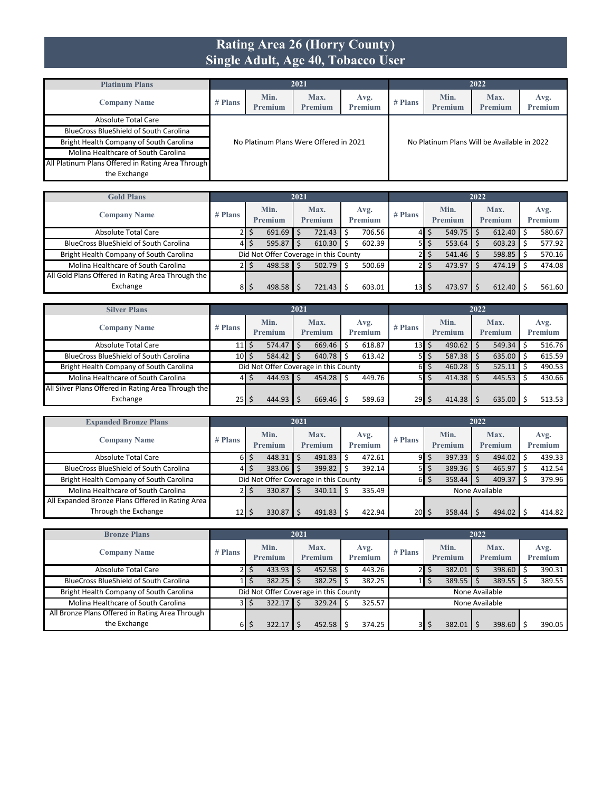#### **Rating Area 26 (Horry County) Single Adult, Age 40, Tobacco User**

| <b>Platinum Plans</b>                             |         |                        | 2021                                   |                 |           |                                             | 2022            |                 |
|---------------------------------------------------|---------|------------------------|----------------------------------------|-----------------|-----------|---------------------------------------------|-----------------|-----------------|
| <b>Company Name</b>                               | # Plans | Min.<br><b>Premium</b> | Max.<br>Premium                        | Avg.<br>Premium | $#$ Plans | Min.<br><b>Premium</b>                      | Max.<br>Premium | Avg.<br>Premium |
| Absolute Total Care                               |         |                        |                                        |                 |           |                                             |                 |                 |
| <b>BlueCross BlueShield of South Carolina</b>     |         |                        |                                        |                 |           |                                             |                 |                 |
| Bright Health Company of South Carolina           |         |                        | No Platinum Plans Were Offered in 2021 |                 |           | No Platinum Plans Will be Available in 2022 |                 |                 |
| Molina Healthcare of South Carolina               |         |                        |                                        |                 |           |                                             |                 |                 |
| All Platinum Plans Offered in Rating Area Through |         |                        |                                        |                 |           |                                             |                 |                 |
| the Exchange                                      |         |                        |                                        |                 |           |                                             |                 |                 |

| <b>Gold Plans</b>                                 |           |                 | 2021 |                                       |      |                        |                 |   |                 | 2022 |                 |                 |
|---------------------------------------------------|-----------|-----------------|------|---------------------------------------|------|------------------------|-----------------|---|-----------------|------|-----------------|-----------------|
| <b>Company Name</b>                               | $#$ Plans | Min.<br>Premium |      | Max.<br><b>Premium</b>                |      | Avg.<br><b>Premium</b> | $#$ Plans       |   | Min.<br>Premium |      | Max.<br>Premium | Avg.<br>Premium |
| Absolute Total Care                               |           | 691.69          |      | 721.43                                | Ŝ    | 706.56                 | 41              | S | $549.75$ \$     |      | $612.40$ \$     | 580.67          |
| <b>BlueCross BlueShield of South Carolina</b>     | 41        | $595.87$ \$     |      | 610.30                                | S    | 602.39                 |                 | C | $553.64$ \$     |      | $603.23$ \$     | 577.92          |
| Bright Health Company of South Carolina           |           |                 |      | Did Not Offer Coverage in this County |      |                        |                 |   | $541.46$ \$     |      | $598.85$ \$     | 570.16          |
| Molina Healthcare of South Carolina               |           | $498.58$ \$     |      | 502.79                                | l \$ | 500.69                 |                 |   | $473.97$ \$     |      | $474.19$ \$     | 474.08          |
| All Gold Plans Offered in Rating Area Through the |           |                 |      |                                       |      |                        |                 |   |                 |      |                 |                 |
| Exchange                                          | 81        | $498.58$ S      |      | 721.43                                |      | 603.01                 | 13 <sup>1</sup> |   | $473.97$   \$   |      | 612.40          | 561.60          |

| <b>Silver Plans</b>                                 |               |                 | 2021                                  |                 |           |                 | 2022                   |                        |
|-----------------------------------------------------|---------------|-----------------|---------------------------------------|-----------------|-----------|-----------------|------------------------|------------------------|
| <b>Company Name</b>                                 | # Plans       | Min.<br>Premium | Max.<br>Premium                       | Avg.<br>Premium | $#$ Plans | Min.<br>Premium | Max.<br><b>Premium</b> | Avg.<br><b>Premium</b> |
| Absolute Total Care                                 | $11 \mid 5$   | $574.47$ \$     | 669.46                                | 618.87<br>-Ś    | 13        | 490.62<br>\$    | 549.34                 | 516.76                 |
| <b>BlueCross BlueShield of South Carolina</b>       | $10 \mid \xi$ | $584.42$ \$     | 640.78                                | 613.42<br>-Ŝ    | 51        | 587.38<br>\$    | $635.00$ \$            | 615.59                 |
| Bright Health Company of South Carolina             |               |                 | Did Not Offer Coverage in this County |                 | 61        | Ś<br>460.28     | $525.11$ \$            | 490.53                 |
| Molina Healthcare of South Carolina                 | 41            | $444.93$ \$     | 454.28                                | 449.76          | 51        | 414.38<br>Ś     | $445.53$ \$            | 430.66                 |
| All Silver Plans Offered in Rating Area Through the |               |                 |                                       |                 |           |                 |                        |                        |
| Exchange                                            | $25$   \$     | 444.93          | 669.46                                | 589.63          | 29        | 414.38<br>S     | 635.00                 | 513.53                 |

| <b>Expanded Bronze Plans</b>                     |           |                           | 2021 |                                       |   |                 |                |            |                 | 2022 |                        |  |                 |
|--------------------------------------------------|-----------|---------------------------|------|---------------------------------------|---|-----------------|----------------|------------|-----------------|------|------------------------|--|-----------------|
| <b>Company Name</b>                              | $#$ Plans | Min.<br>Premium<br>448.31 |      | Max.<br>Premium                       |   | Avg.<br>Premium | $#$ Plans      |            | Min.<br>Premium |      | Max.<br><b>Premium</b> |  | Avg.<br>Premium |
| <b>Absolute Total Care</b>                       | 61        |                           |      | 491.83                                |   | 472.61          | 91             | \$         | 397.33          |      | 494.02                 |  | 439.33          |
| <b>BlueCross BlueShield of South Carolina</b>    | 41        | 383.06                    |      | 399.82                                |   | 392.14          | 51             | S          | 389.36          |      | 465.97                 |  | 412.54          |
| Bright Health Company of South Carolina          |           |                           |      | Did Not Offer Coverage in this County |   |                 |                | $6 \mid 5$ | 358.44          |      | 409.37                 |  | 379.96          |
| Molina Healthcare of South Carolina              |           | 330.87                    |      | 340.11                                | Ś | 335.49          | None Available |            |                 |      |                        |  |                 |
| All Expanded Bronze Plans Offered in Rating Area |           |                           |      |                                       |   |                 |                |            |                 |      |                        |  |                 |
| Through the Exchange                             | 12        | 330.87                    |      | 491.83                                |   | 422.94          | 20             |            | 358.44          |      | 494.02                 |  | 414.82          |

| <b>Bronze Plans</b>                             |         |                 | 2021 |                                       |     |                        |           |   |                 | 2022 |                        |                 |
|-------------------------------------------------|---------|-----------------|------|---------------------------------------|-----|------------------------|-----------|---|-----------------|------|------------------------|-----------------|
| <b>Company Name</b>                             | # Plans | Min.<br>Premium |      | Max.<br><b>Premium</b>                |     | Avg.<br><b>Premium</b> | $#$ Plans |   | Min.<br>Premium |      | Max.<br><b>Premium</b> | Avg.<br>Premium |
| <b>Absolute Total Care</b>                      | 21      | $433.93$ \$     |      | 452.58                                | Ŝ.  | 443.26                 |           |   | 382.01          |      | 398.60 \$              | 390.31          |
| <b>BlueCross BlueShield of South Carolina</b>   |         | 382.25          |      | 382.25                                |     | 382.25                 |           |   | 389.55          |      | $389.55$ \$            | 389.55          |
| Bright Health Company of South Carolina         |         |                 |      | Did Not Offer Coverage in this County |     |                        |           |   | None Available  |      |                        |                 |
| Molina Healthcare of South Carolina             | 3I      | $322.17$ \$     |      | 329.24                                | l S | 325.57                 |           |   | None Available  |      |                        |                 |
| All Bronze Plans Offered in Rating Area Through |         |                 |      |                                       |     |                        |           |   |                 |      |                        |                 |
| the Exchange                                    | 6I      | 322.17          |      | 452.58                                |     | 374.25                 | 31        | S | 382.01          |      | 398.60                 | 390.05          |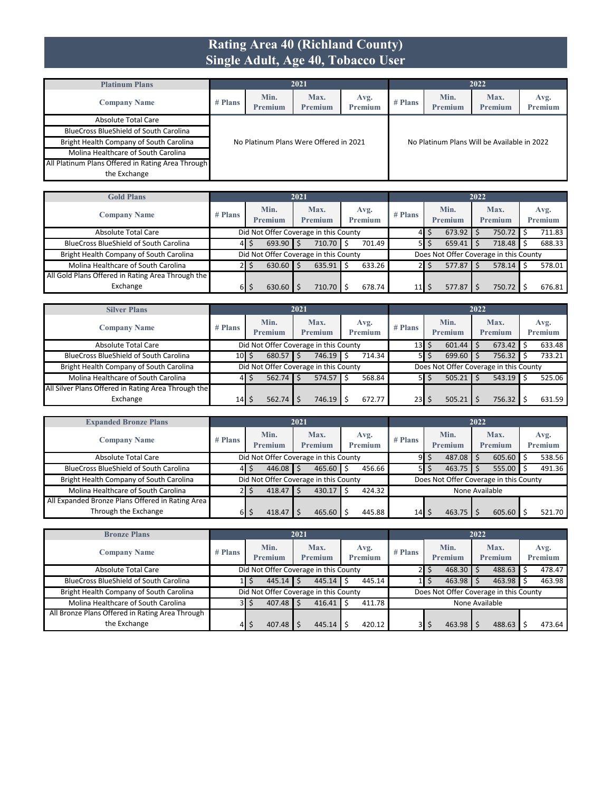#### **Rating Area 40 (Richland County) Single Adult, Age 40, Tobacco User**

| <b>Platinum Plans</b>                             |         |                        | 2021                                      |  |         |                                             | 2022            |                 |
|---------------------------------------------------|---------|------------------------|-------------------------------------------|--|---------|---------------------------------------------|-----------------|-----------------|
| <b>Company Name</b>                               | # Plans | Min.<br><b>Premium</b> | Max.<br>Avg.<br><b>Premium</b><br>Premium |  | # Plans | Min.<br><b>Premium</b>                      | Max.<br>Premium | Avg.<br>Premium |
| Absolute Total Care                               |         |                        |                                           |  |         |                                             |                 |                 |
| <b>BlueCross BlueShield of South Carolina</b>     |         |                        |                                           |  |         |                                             |                 |                 |
| Bright Health Company of South Carolina           |         |                        | No Platinum Plans Were Offered in 2021    |  |         | No Platinum Plans Will be Available in 2022 |                 |                 |
| Molina Healthcare of South Carolina               |         |                        |                                           |  |         |                                             |                 |                 |
| All Platinum Plans Offered in Rating Area Through |         |                        |                                           |  |         |                                             |                 |                 |
| the Exchange                                      |         |                        |                                           |  |         |                                             |                 |                 |

| <b>Gold Plans</b>                                 |           |                 | 2021                                  |   |                        |           |   |                                        | 2022 |                 |                        |
|---------------------------------------------------|-----------|-----------------|---------------------------------------|---|------------------------|-----------|---|----------------------------------------|------|-----------------|------------------------|
| <b>Company Name</b>                               | $#$ Plans | Min.<br>Premium | Max.<br><b>Premium</b>                |   | Avg.<br><b>Premium</b> | $#$ Plans |   | Min.<br>Premium                        |      | Max.<br>Premium | Avg.<br><b>Premium</b> |
| Absolute Total Care                               |           |                 | Did Not Offer Coverage in this County |   |                        |           | ∍ | $673.92$ \$                            |      | 750.72          | 711.83                 |
| <b>BlueCross BlueShield of South Carolina</b>     | 41        | $693.90$ \$     | 710.70                                | Ŝ | 701.49                 | 51        | Ś | $659.41$ \$                            |      | $718.48$ \$     | 688.33                 |
| Bright Health Company of South Carolina           |           |                 | Did Not Offer Coverage in this County |   |                        |           |   | Does Not Offer Coverage in this County |      |                 |                        |
| Molina Healthcare of South Carolina               |           | $630.60$ \$     | 635.91                                |   | 633.26                 |           | S | $577.87$ S                             |      | 578.14          | 578.01                 |
| All Gold Plans Offered in Rating Area Through the |           |                 |                                       |   |                        |           |   |                                        |      |                 |                        |
| Exchange                                          | 61        | 630.60          | 710.70                                |   | 678.74                 | 11        |   | 577.87                                 |      | 750.72          | 676.81                 |

| <b>Silver Plans</b>                                 |                               |                        | 2021                                  |        |    |                        |           |    |                                        | 2022 |                        |                        |
|-----------------------------------------------------|-------------------------------|------------------------|---------------------------------------|--------|----|------------------------|-----------|----|----------------------------------------|------|------------------------|------------------------|
| <b>Company Name</b>                                 | $#$ Plans                     | Min.<br><b>Premium</b> | Max.<br><b>Premium</b>                |        |    | Avg.<br><b>Premium</b> | $#$ Plans |    | Min.<br>Premium                        |      | Max.<br><b>Premium</b> | Avg.<br><b>Premium</b> |
| Absolute Total Care                                 |                               |                        | Did Not Offer Coverage in this County |        |    |                        | 13        | Ś  | 601.44                                 |      | $673.42$ \$            | 633.48                 |
| <b>BlueCross BlueShield of South Carolina</b>       | $10$ $\overline{\phantom{0}}$ | $680.57$ \$            |                                       | 746.19 | Ŝ  | 714.34                 | 51        | \$ | 699.60                                 |      | 756.32                 | 733.21                 |
| Bright Health Company of South Carolina             |                               |                        | Did Not Offer Coverage in this County |        |    |                        |           |    | Does Not Offer Coverage in this County |      |                        |                        |
| Molina Healthcare of South Carolina                 | 41                            | $562.74$ S             |                                       | 574.57 | Ŝ. | 568.84                 | 51        | S  | 505.21                                 |      | $543.19$ \$            | 525.06                 |
| All Silver Plans Offered in Rating Area Through the |                               |                        |                                       |        |    |                        |           |    |                                        |      |                        |                        |
| Exchange                                            | $14$ $\overline{\phantom{1}}$ | 562.74                 |                                       | 746.19 |    | 672.77                 | 23        | S  | 505.21                                 |      | 756.32                 | 631.59                 |

| <b>Expanded Bronze Plans</b>                     |           |                                                                                             | 2021                                  |                 |           |                        | 2022                                   |                 |
|--------------------------------------------------|-----------|---------------------------------------------------------------------------------------------|---------------------------------------|-----------------|-----------|------------------------|----------------------------------------|-----------------|
| <b>Company Name</b>                              | $#$ Plans | Min.<br><b>Premium</b>                                                                      | Max.<br><b>Premium</b>                | Avg.<br>Premium | $#$ Plans | Min.<br><b>Premium</b> | Max.<br>Premium                        | Avg.<br>Premium |
| Absolute Total Care                              |           |                                                                                             | Did Not Offer Coverage in this County |                 | 91        | Ś<br>487.08            | 605.60                                 | 538.56          |
| <b>BlueCross BlueShield of South Carolina</b>    |           | $446.08$ \$<br>465.60<br>$555.00$ \$<br>456.66<br>463.75<br>Ŝ<br>5 <sub>l</sub><br>\$<br>41 |                                       |                 |           |                        |                                        | 491.36          |
| Bright Health Company of South Carolina          |           |                                                                                             | Did Not Offer Coverage in this County |                 |           |                        | Does Not Offer Coverage in this County |                 |
| Molina Healthcare of South Carolina              |           | $418.47$ \$                                                                                 | 430.17                                | 424.32          |           |                        |                                        |                 |
| All Expanded Bronze Plans Offered in Rating Area |           |                                                                                             |                                       |                 |           |                        |                                        |                 |
| Through the Exchange                             | 61        | 418.47                                                                                      | 465.60                                | 445.88          | 14        | 463.75                 | 605.60                                 | 521.70          |

| <b>Bronze Plans</b>                             |           |                 | 2021                                  |                        |           |                        | 2022                                   |                 |
|-------------------------------------------------|-----------|-----------------|---------------------------------------|------------------------|-----------|------------------------|----------------------------------------|-----------------|
| <b>Company Name</b>                             | $#$ Plans | Min.<br>Premium | Max.<br><b>Premium</b>                | Avg.<br><b>Premium</b> | $#$ Plans | Min.<br><b>Premium</b> | Max.<br>Premium                        | Avg.<br>Premium |
| <b>Absolute Total Care</b>                      |           |                 | Did Not Offer Coverage in this County |                        |           | 468.30                 | $488.63$ \$                            | 478.47          |
| <b>BlueCross BlueShield of South Carolina</b>   |           | $445.14$ S      | 445.14                                | 445.14                 |           | 463.98                 | 463.98                                 | 463.98          |
| Bright Health Company of South Carolina         |           |                 | Did Not Offer Coverage in this County |                        |           |                        | Does Not Offer Coverage in this County |                 |
| Molina Healthcare of South Carolina             | 3I        | $407.48$ S      | 416.41                                | 411.78                 |           |                        | None Available                         |                 |
| All Bronze Plans Offered in Rating Area Through |           |                 |                                       |                        |           |                        |                                        |                 |
| the Exchange                                    | 41        | 407.48          | 445.14                                | 420.12                 | 3I        | 463.98                 | 488.63                                 | 473.64          |